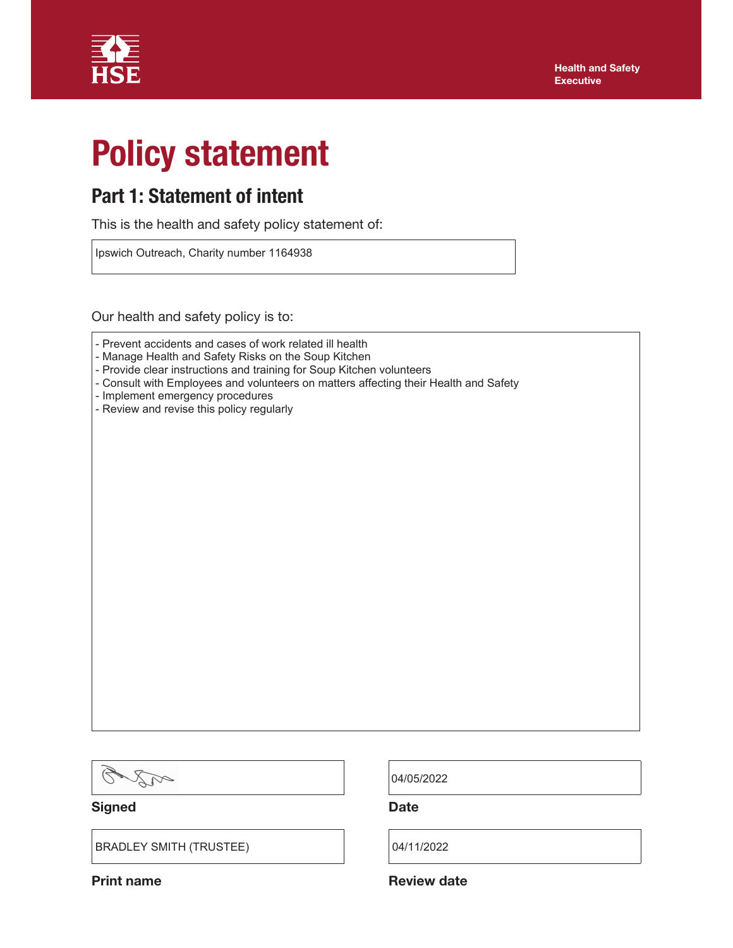

# Policy statement

## Part 1: Statement of intent

This is the health and safety policy statement of:

Ipswich Outreach, Charity number 1164938

Our health and safety policy is to:

- Manage Health and Safety Risks on the Soup Kitchen
- Provide clear instructions and training for Soup Kitchen volunteers
- Consult with Employees and volunteers on matters affecting their Health and Safety
- Implement emergency procedures
- Review and revise this policy regularly

 $\mathcal{Q}$ AR

Signed Date Date

BRADLEY SMITH (TRUSTEE)  $|04/11/2022$ 

04/05/2022

Print name **Review date** Review date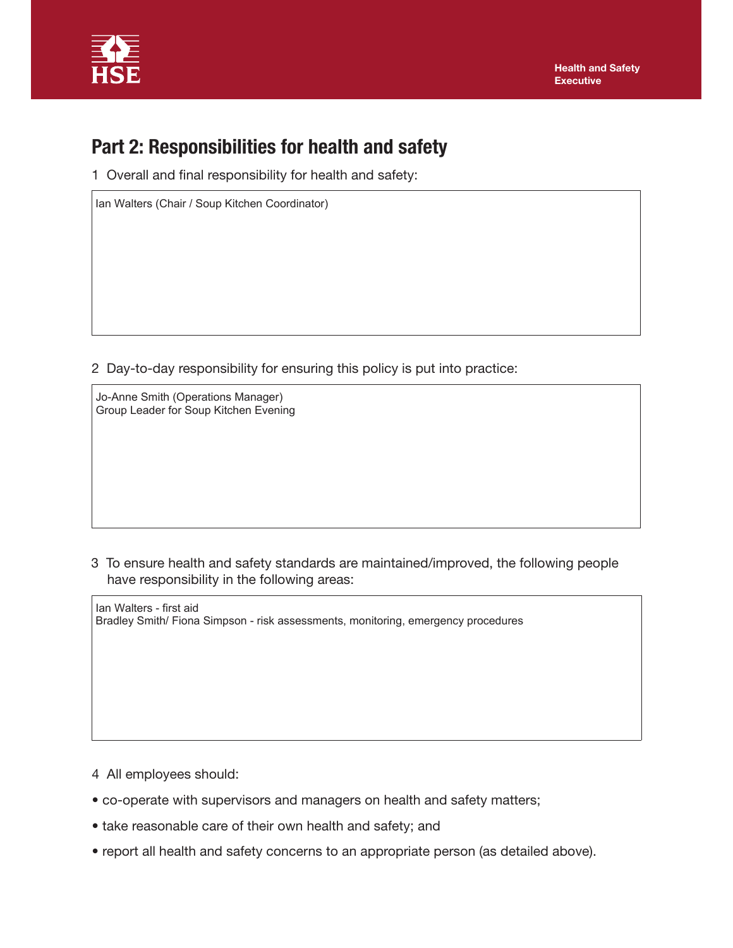

# Part 2: Responsibilities for health and safety

1 Overall and final responsibility for health and safety:

Ian Walters (Chair / Soup Kitchen Coordinator)

2 Day-to-day responsibility for ensuring this policy is put into practice:

Jo-Anne Smith (Operations Manager) Group Leader for Soup Kitchen Evening

3 To ensure health and safety standards are maintained/improved, the following people have responsibility in the following areas:

Ian Walters - first aid Bradley Smith/ Fiona Simpson - risk assessments, monitoring, emergency procedures

- 4 All employees should:
- co-operate with supervisors and managers on health and safety matters;
- take reasonable care of their own health and safety; and
- report all health and safety concerns to an appropriate person (as detailed above).